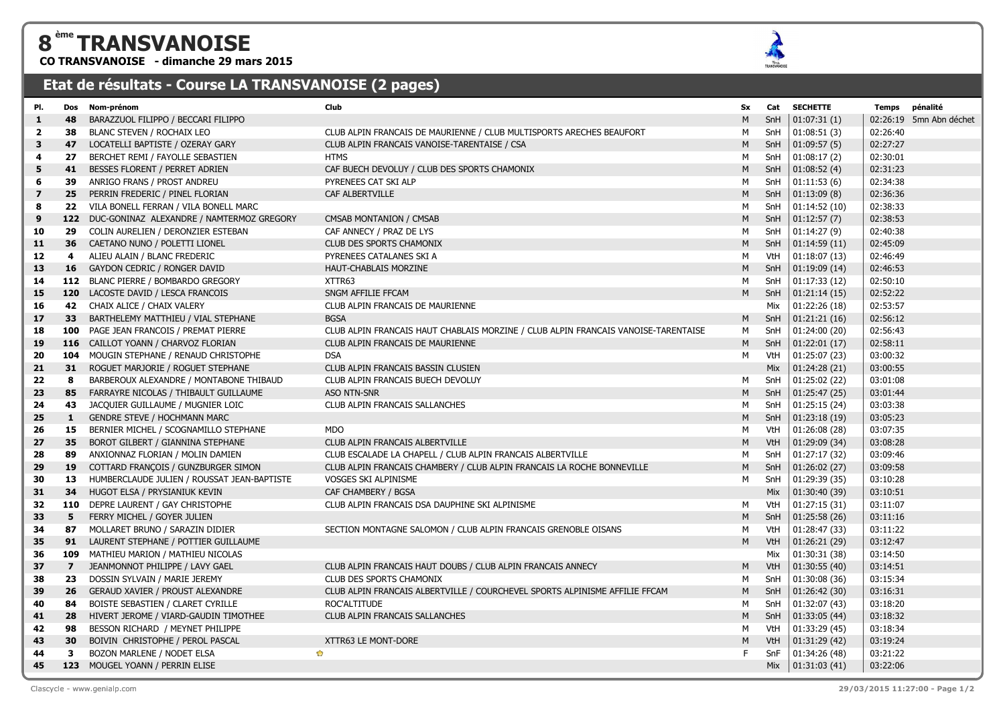## **ème TRANSVANOISE**

**CO TRANSVANOISE - dimanche 29 mars 2015**



## **Etat de résultats - Course LA TRANSVANOISE (2 pages)**

| 48<br>BARAZZUOL FILIPPO / BECCARI FILIPPO<br>M<br>SnH<br> 01:07:31(1) <br>1<br>02:26:40<br>38<br>BLANC STEVEN / ROCHAIX LEO<br>CLUB ALPIN FRANCAIS DE MAURIENNE / CLUB MULTISPORTS ARECHES BEAUFORT<br>SnH<br> 01:08:51(3) <br>$\overline{\mathbf{2}}$<br>м<br>M<br>02:27:27<br>3<br>47<br>LOCATELLI BAPTISTE / OZERAY GARY<br>CLUB ALPIN FRANCAIS VANOISE-TARENTAISE / CSA<br>SnH<br> 01:09:57(5) <br>SnH<br>01:08:17(2)<br>27<br>BERCHET REMI / FAYOLLE SEBASTIEN<br><b>HTMS</b><br>М<br>02:30:01<br>4<br>BESSES FLORENT / PERRET ADRIEN<br>SnH<br>01:08:52(4)<br>02:31:23<br>5<br>41<br>CAF BUECH DEVOLUY / CLUB DES SPORTS CHAMONIX<br>M<br>ANRIGO FRANS / PROST ANDREU<br>PYRENEES CAT SKI ALP<br>SnH<br>01:11:53(6)<br>02:34:38<br>6<br>39<br>м<br>25<br>M<br>SnH<br> 01:13:09(8) <br>02:36:36<br>$\overline{\mathbf{z}}$<br>PERRIN FREDERIC / PINEL FLORIAN<br>CAF ALBERTVILLE<br>VILA BONELL FERRAN / VILA BONELL MARC<br>М<br>SnH<br>01:14:52(10)<br>02:38:33<br>8<br>22<br>02:38:53<br>9<br>122 DUC-GONINAZ ALEXANDRE / NAMTERMOZ GREGORY<br>CMSAB MONTANION / CMSAB<br>M<br>SnH<br> 01:12:57(7) <br>COLIN AURELIEN / DERONZIER ESTEBAN<br>CAF ANNECY / PRAZ DE LYS<br>01:14:27(9)<br>02:40:38<br>SnH<br>10<br>29<br>м<br>01:14:59(11)<br>02:45:09<br>36<br>CAETANO NUNO / POLETTI LIONEL<br>CLUB DES SPORTS CHAMONIX<br>M<br>SnH<br>11<br>VtH<br>01:18:07(13)<br>02:46:49<br>12<br>4<br>ALIEU ALAIN / BLANC FREDERIC<br>PYRENEES CATALANES SKI A<br>М<br>M<br>SnH<br>02:46:53<br>13<br>16<br>GAYDON CEDRIC / RONGER DAVID<br><b>HAUT-CHABLAIS MORZINE</b><br>01:19:09(14)<br>112 BLANC PIERRE / BOMBARDO GREGORY<br>SnH<br>01:17:33(12)<br>02:50:10<br>XTTR63<br>14<br>м<br>120 LACOSTE DAVID / LESCA FRANCOIS<br>SNGM AFFILIE FFCAM<br>M<br>SnH<br>01:21:14(15)<br>02:52:22<br>15<br>42<br>CHAIX ALICE / CHAIX VALERY<br>CLUB ALPIN FRANCAIS DE MAURIENNE<br>Mix<br>01:22:26(18)<br>02:53:57<br>16<br> 01:21:21(16)<br>33 <sup>2</sup><br>BARTHELEMY MATTHIEU / VIAL STEPHANE<br><b>BGSA</b><br>M<br>SnH<br>02:56:12<br>17<br>PAGE JEAN FRANCOIS / PREMAT PIERRE<br>CLUB ALPIN FRANCAIS HAUT CHABLAIS MORZINE / CLUB ALPIN FRANCAIS VANOISE-TARENTAISE<br>М<br>SnH<br>01:24:00 (20)<br>02:56:43<br>18<br>100<br>M<br>SnH<br> 01:22:01(17) <br>02:58:11<br>116 CAILLOT YOANN / CHARVOZ FLORIAN<br>CLUB ALPIN FRANCAIS DE MAURIENNE<br>19<br>104 MOUGIN STEPHANE / RENAUD CHRISTOPHE<br>01:25:07 (23)<br>03:00:32<br>20<br><b>DSA</b><br>м<br>VtH<br>31<br>ROGUET MARJORIE / ROGUET STEPHANE<br>Mix<br>01:24:28(21)<br>03:00:55<br>21<br>CLUB ALPIN FRANCAIS BASSIN CLUSIEN<br>SnH<br>01:25:02 (22)<br>03:01:08<br>22<br>8<br>BARBEROUX ALEXANDRE / MONTABONE THIBAUD<br>CLUB ALPIN FRANCAIS BUECH DEVOLUY<br>М<br>85<br>M<br>SnH<br>01:25:47(25)<br>03:01:44<br>23<br>FARRAYRE NICOLAS / THIBAULT GUILLAUME<br>ASO NTN-SNR<br>43<br>JACQUIER GUILLAUME / MUGNIER LOIC<br>CLUB ALPIN FRANCAIS SALLANCHES<br>SnH<br>01:25:15(24)<br>03:03:38<br>24<br>м<br>01:23:18(19)<br>03:05:23<br><b>GENDRE STEVE / HOCHMANN MARC</b><br>M<br>SnH<br>25<br>1<br>15<br>01:26:08 (28)<br>BERNIER MICHEL / SCOGNAMILLO STEPHANE<br><b>MDO</b><br>М<br>VtH<br>03:07:35<br>26<br>M<br>01:29:09 (34)<br>03:08:28<br>27<br>35<br>BOROT GILBERT / GIANNINA STEPHANE<br>CLUB ALPIN FRANCAIS ALBERTVILLE<br>VtH<br>SnH<br>01:27:17(32)<br>89<br>ANXIONNAZ FLORIAN / MOLIN DAMIEN<br>CLUB ESCALADE LA CHAPELL / CLUB ALPIN FRANCAIS ALBERTVILLE<br>м<br>03:09:46<br>28<br>19<br>COTTARD FRANÇOIS / GUNZBURGER SIMON<br>CLUB ALPIN FRANCAIS CHAMBERY / CLUB ALPIN FRANCAIS LA ROCHE BONNEVILLE<br>M<br>SnH<br> 01:26:02(27) <br>03:09:58<br>29<br>HUMBERCLAUDE JULIEN / ROUSSAT JEAN-BAPTISTE<br>VOSGES SKI ALPINISME<br>01:29:39 (35)<br>03:10:28<br>30<br>13<br>м<br>SnH<br>34<br>HUGOT ELSA / PRYSIANIUK KEVIN<br>Mix<br>01:30:40 (39)<br>03:10:51<br>31<br>CAF CHAMBERY / BGSA<br>01:27:15(31)<br>110<br>DEPRE LAURENT / GAY CHRISTOPHE<br>CLUB ALPIN FRANCAIS DSA DAUPHINE SKI ALPINISME<br>M<br>VtH<br>03:11:07<br>32<br>M<br>33<br>5<br>FERRY MICHEL / GOYER JULIEN<br>SnH<br>01:25:58(26)<br>03:11:16<br>VtH<br>01:28:47 (33)<br>34<br>87<br>MOLLARET BRUNO / SARAZIN DIDIER<br>SECTION MONTAGNE SALOMON / CLUB ALPIN FRANCAIS GRENOBLE OISANS<br>03:11:22<br>м<br>LAURENT STEPHANE / POTTIER GUILLAUME<br>M<br>01:26:21 (29)<br>03:12:47<br>91<br>VtH<br>35<br>Mix<br>01:30:31 (38)<br>36<br>109<br>MATHIEU MARION / MATHIEU NICOLAS<br>03:14:50<br>JEANMONNOT PHILIPPE / LAVY GAEL<br>CLUB ALPIN FRANCAIS HAUT DOUBS / CLUB ALPIN FRANCAIS ANNECY<br>M<br>VtH<br>01:30:55(40)<br>03:14:51<br>37<br>$\overline{z}$<br>SnH<br>01:30:08 (36)<br>03:15:34<br>38<br>23<br>DOSSIN SYLVAIN / MARIE JEREMY<br>CLUB DES SPORTS CHAMONIX<br>м<br>26<br>GERAUD XAVIER / PROUST ALEXANDRE<br>CLUB ALPIN FRANCAIS ALBERTVILLE / COURCHEVEL SPORTS ALPINISME AFFILIE FFCAM<br>M<br>SnH<br> 01:26:42(30) <br>03:16:31<br>39<br>BOISTE SEBASTIEN / CLARET CYRILLE<br>01:32:07(43)<br>03:18:20<br>ROC'ALTITUDE<br>SnH<br>40<br>84<br>м<br>M<br>SnH<br> 01:33:05(44)<br>28<br>HIVERT JEROME / VIARD-GAUDIN TIMOTHEE<br>CLUB ALPIN FRANCAIS SALLANCHES<br>03:18:32<br>41<br>VtH<br>01:33:29 (45)<br>42<br>98<br>BESSON RICHARD / MEYNET PHILIPPE<br>М<br>03:18:34 | PI. | Dos | Nom-prénom                       | Club                | Sx | Cat | <b>SECHETTE</b> | Temps pénalité          |
|--------------------------------------------------------------------------------------------------------------------------------------------------------------------------------------------------------------------------------------------------------------------------------------------------------------------------------------------------------------------------------------------------------------------------------------------------------------------------------------------------------------------------------------------------------------------------------------------------------------------------------------------------------------------------------------------------------------------------------------------------------------------------------------------------------------------------------------------------------------------------------------------------------------------------------------------------------------------------------------------------------------------------------------------------------------------------------------------------------------------------------------------------------------------------------------------------------------------------------------------------------------------------------------------------------------------------------------------------------------------------------------------------------------------------------------------------------------------------------------------------------------------------------------------------------------------------------------------------------------------------------------------------------------------------------------------------------------------------------------------------------------------------------------------------------------------------------------------------------------------------------------------------------------------------------------------------------------------------------------------------------------------------------------------------------------------------------------------------------------------------------------------------------------------------------------------------------------------------------------------------------------------------------------------------------------------------------------------------------------------------------------------------------------------------------------------------------------------------------------------------------------------------------------------------------------------------------------------------------------------------------------------------------------------------------------------------------------------------------------------------------------------------------------------------------------------------------------------------------------------------------------------------------------------------------------------------------------------------------------------------------------------------------------------------------------------------------------------------------------------------------------------------------------------------------------------------------------------------------------------------------------------------------------------------------------------------------------------------------------------------------------------------------------------------------------------------------------------------------------------------------------------------------------------------------------------------------------------------------------------------------------------------------------------------------------------------------------------------------------------------------------------------------------------------------------------------------------------------------------------------------------------------------------------------------------------------------------------------------------------------------------------------------------------------------------------------------------------------------------------------------------------------------------------------------------------------------------------------------------------------------------------------------------------------------------------------------------------------------------------------------------------------------------------------------------------------------------------------------------------------------------------------------------------------------------------------------------------------------------------------------------------------------------------------------------------------------------------------------------------------------------------------------------------------------------------------------------------------------------------------------------------------------------------------------------------------------------------------------------------------------------------------------------------------------------------------------------------------------------------------------------------------------------------------------------------------------------------------------------------|-----|-----|----------------------------------|---------------------|----|-----|-----------------|-------------------------|
|                                                                                                                                                                                                                                                                                                                                                                                                                                                                                                                                                                                                                                                                                                                                                                                                                                                                                                                                                                                                                                                                                                                                                                                                                                                                                                                                                                                                                                                                                                                                                                                                                                                                                                                                                                                                                                                                                                                                                                                                                                                                                                                                                                                                                                                                                                                                                                                                                                                                                                                                                                                                                                                                                                                                                                                                                                                                                                                                                                                                                                                                                                                                                                                                                                                                                                                                                                                                                                                                                                                                                                                                                                                                                                                                                                                                                                                                                                                                                                                                                                                                                                                                                                                                                                                                                                                                                                                                                                                                                                                                                                                                                                                                                                                                                                                                                                                                                                                                                                                                                                                                                                                                                                                                                                            |     |     |                                  |                     |    |     |                 | 02:26:19 5mn Abn déchet |
|                                                                                                                                                                                                                                                                                                                                                                                                                                                                                                                                                                                                                                                                                                                                                                                                                                                                                                                                                                                                                                                                                                                                                                                                                                                                                                                                                                                                                                                                                                                                                                                                                                                                                                                                                                                                                                                                                                                                                                                                                                                                                                                                                                                                                                                                                                                                                                                                                                                                                                                                                                                                                                                                                                                                                                                                                                                                                                                                                                                                                                                                                                                                                                                                                                                                                                                                                                                                                                                                                                                                                                                                                                                                                                                                                                                                                                                                                                                                                                                                                                                                                                                                                                                                                                                                                                                                                                                                                                                                                                                                                                                                                                                                                                                                                                                                                                                                                                                                                                                                                                                                                                                                                                                                                                            |     |     |                                  |                     |    |     |                 |                         |
|                                                                                                                                                                                                                                                                                                                                                                                                                                                                                                                                                                                                                                                                                                                                                                                                                                                                                                                                                                                                                                                                                                                                                                                                                                                                                                                                                                                                                                                                                                                                                                                                                                                                                                                                                                                                                                                                                                                                                                                                                                                                                                                                                                                                                                                                                                                                                                                                                                                                                                                                                                                                                                                                                                                                                                                                                                                                                                                                                                                                                                                                                                                                                                                                                                                                                                                                                                                                                                                                                                                                                                                                                                                                                                                                                                                                                                                                                                                                                                                                                                                                                                                                                                                                                                                                                                                                                                                                                                                                                                                                                                                                                                                                                                                                                                                                                                                                                                                                                                                                                                                                                                                                                                                                                                            |     |     |                                  |                     |    |     |                 |                         |
|                                                                                                                                                                                                                                                                                                                                                                                                                                                                                                                                                                                                                                                                                                                                                                                                                                                                                                                                                                                                                                                                                                                                                                                                                                                                                                                                                                                                                                                                                                                                                                                                                                                                                                                                                                                                                                                                                                                                                                                                                                                                                                                                                                                                                                                                                                                                                                                                                                                                                                                                                                                                                                                                                                                                                                                                                                                                                                                                                                                                                                                                                                                                                                                                                                                                                                                                                                                                                                                                                                                                                                                                                                                                                                                                                                                                                                                                                                                                                                                                                                                                                                                                                                                                                                                                                                                                                                                                                                                                                                                                                                                                                                                                                                                                                                                                                                                                                                                                                                                                                                                                                                                                                                                                                                            |     |     |                                  |                     |    |     |                 |                         |
|                                                                                                                                                                                                                                                                                                                                                                                                                                                                                                                                                                                                                                                                                                                                                                                                                                                                                                                                                                                                                                                                                                                                                                                                                                                                                                                                                                                                                                                                                                                                                                                                                                                                                                                                                                                                                                                                                                                                                                                                                                                                                                                                                                                                                                                                                                                                                                                                                                                                                                                                                                                                                                                                                                                                                                                                                                                                                                                                                                                                                                                                                                                                                                                                                                                                                                                                                                                                                                                                                                                                                                                                                                                                                                                                                                                                                                                                                                                                                                                                                                                                                                                                                                                                                                                                                                                                                                                                                                                                                                                                                                                                                                                                                                                                                                                                                                                                                                                                                                                                                                                                                                                                                                                                                                            |     |     |                                  |                     |    |     |                 |                         |
|                                                                                                                                                                                                                                                                                                                                                                                                                                                                                                                                                                                                                                                                                                                                                                                                                                                                                                                                                                                                                                                                                                                                                                                                                                                                                                                                                                                                                                                                                                                                                                                                                                                                                                                                                                                                                                                                                                                                                                                                                                                                                                                                                                                                                                                                                                                                                                                                                                                                                                                                                                                                                                                                                                                                                                                                                                                                                                                                                                                                                                                                                                                                                                                                                                                                                                                                                                                                                                                                                                                                                                                                                                                                                                                                                                                                                                                                                                                                                                                                                                                                                                                                                                                                                                                                                                                                                                                                                                                                                                                                                                                                                                                                                                                                                                                                                                                                                                                                                                                                                                                                                                                                                                                                                                            |     |     |                                  |                     |    |     |                 |                         |
|                                                                                                                                                                                                                                                                                                                                                                                                                                                                                                                                                                                                                                                                                                                                                                                                                                                                                                                                                                                                                                                                                                                                                                                                                                                                                                                                                                                                                                                                                                                                                                                                                                                                                                                                                                                                                                                                                                                                                                                                                                                                                                                                                                                                                                                                                                                                                                                                                                                                                                                                                                                                                                                                                                                                                                                                                                                                                                                                                                                                                                                                                                                                                                                                                                                                                                                                                                                                                                                                                                                                                                                                                                                                                                                                                                                                                                                                                                                                                                                                                                                                                                                                                                                                                                                                                                                                                                                                                                                                                                                                                                                                                                                                                                                                                                                                                                                                                                                                                                                                                                                                                                                                                                                                                                            |     |     |                                  |                     |    |     |                 |                         |
|                                                                                                                                                                                                                                                                                                                                                                                                                                                                                                                                                                                                                                                                                                                                                                                                                                                                                                                                                                                                                                                                                                                                                                                                                                                                                                                                                                                                                                                                                                                                                                                                                                                                                                                                                                                                                                                                                                                                                                                                                                                                                                                                                                                                                                                                                                                                                                                                                                                                                                                                                                                                                                                                                                                                                                                                                                                                                                                                                                                                                                                                                                                                                                                                                                                                                                                                                                                                                                                                                                                                                                                                                                                                                                                                                                                                                                                                                                                                                                                                                                                                                                                                                                                                                                                                                                                                                                                                                                                                                                                                                                                                                                                                                                                                                                                                                                                                                                                                                                                                                                                                                                                                                                                                                                            |     |     |                                  |                     |    |     |                 |                         |
|                                                                                                                                                                                                                                                                                                                                                                                                                                                                                                                                                                                                                                                                                                                                                                                                                                                                                                                                                                                                                                                                                                                                                                                                                                                                                                                                                                                                                                                                                                                                                                                                                                                                                                                                                                                                                                                                                                                                                                                                                                                                                                                                                                                                                                                                                                                                                                                                                                                                                                                                                                                                                                                                                                                                                                                                                                                                                                                                                                                                                                                                                                                                                                                                                                                                                                                                                                                                                                                                                                                                                                                                                                                                                                                                                                                                                                                                                                                                                                                                                                                                                                                                                                                                                                                                                                                                                                                                                                                                                                                                                                                                                                                                                                                                                                                                                                                                                                                                                                                                                                                                                                                                                                                                                                            |     |     |                                  |                     |    |     |                 |                         |
|                                                                                                                                                                                                                                                                                                                                                                                                                                                                                                                                                                                                                                                                                                                                                                                                                                                                                                                                                                                                                                                                                                                                                                                                                                                                                                                                                                                                                                                                                                                                                                                                                                                                                                                                                                                                                                                                                                                                                                                                                                                                                                                                                                                                                                                                                                                                                                                                                                                                                                                                                                                                                                                                                                                                                                                                                                                                                                                                                                                                                                                                                                                                                                                                                                                                                                                                                                                                                                                                                                                                                                                                                                                                                                                                                                                                                                                                                                                                                                                                                                                                                                                                                                                                                                                                                                                                                                                                                                                                                                                                                                                                                                                                                                                                                                                                                                                                                                                                                                                                                                                                                                                                                                                                                                            |     |     |                                  |                     |    |     |                 |                         |
|                                                                                                                                                                                                                                                                                                                                                                                                                                                                                                                                                                                                                                                                                                                                                                                                                                                                                                                                                                                                                                                                                                                                                                                                                                                                                                                                                                                                                                                                                                                                                                                                                                                                                                                                                                                                                                                                                                                                                                                                                                                                                                                                                                                                                                                                                                                                                                                                                                                                                                                                                                                                                                                                                                                                                                                                                                                                                                                                                                                                                                                                                                                                                                                                                                                                                                                                                                                                                                                                                                                                                                                                                                                                                                                                                                                                                                                                                                                                                                                                                                                                                                                                                                                                                                                                                                                                                                                                                                                                                                                                                                                                                                                                                                                                                                                                                                                                                                                                                                                                                                                                                                                                                                                                                                            |     |     |                                  |                     |    |     |                 |                         |
|                                                                                                                                                                                                                                                                                                                                                                                                                                                                                                                                                                                                                                                                                                                                                                                                                                                                                                                                                                                                                                                                                                                                                                                                                                                                                                                                                                                                                                                                                                                                                                                                                                                                                                                                                                                                                                                                                                                                                                                                                                                                                                                                                                                                                                                                                                                                                                                                                                                                                                                                                                                                                                                                                                                                                                                                                                                                                                                                                                                                                                                                                                                                                                                                                                                                                                                                                                                                                                                                                                                                                                                                                                                                                                                                                                                                                                                                                                                                                                                                                                                                                                                                                                                                                                                                                                                                                                                                                                                                                                                                                                                                                                                                                                                                                                                                                                                                                                                                                                                                                                                                                                                                                                                                                                            |     |     |                                  |                     |    |     |                 |                         |
|                                                                                                                                                                                                                                                                                                                                                                                                                                                                                                                                                                                                                                                                                                                                                                                                                                                                                                                                                                                                                                                                                                                                                                                                                                                                                                                                                                                                                                                                                                                                                                                                                                                                                                                                                                                                                                                                                                                                                                                                                                                                                                                                                                                                                                                                                                                                                                                                                                                                                                                                                                                                                                                                                                                                                                                                                                                                                                                                                                                                                                                                                                                                                                                                                                                                                                                                                                                                                                                                                                                                                                                                                                                                                                                                                                                                                                                                                                                                                                                                                                                                                                                                                                                                                                                                                                                                                                                                                                                                                                                                                                                                                                                                                                                                                                                                                                                                                                                                                                                                                                                                                                                                                                                                                                            |     |     |                                  |                     |    |     |                 |                         |
|                                                                                                                                                                                                                                                                                                                                                                                                                                                                                                                                                                                                                                                                                                                                                                                                                                                                                                                                                                                                                                                                                                                                                                                                                                                                                                                                                                                                                                                                                                                                                                                                                                                                                                                                                                                                                                                                                                                                                                                                                                                                                                                                                                                                                                                                                                                                                                                                                                                                                                                                                                                                                                                                                                                                                                                                                                                                                                                                                                                                                                                                                                                                                                                                                                                                                                                                                                                                                                                                                                                                                                                                                                                                                                                                                                                                                                                                                                                                                                                                                                                                                                                                                                                                                                                                                                                                                                                                                                                                                                                                                                                                                                                                                                                                                                                                                                                                                                                                                                                                                                                                                                                                                                                                                                            |     |     |                                  |                     |    |     |                 |                         |
|                                                                                                                                                                                                                                                                                                                                                                                                                                                                                                                                                                                                                                                                                                                                                                                                                                                                                                                                                                                                                                                                                                                                                                                                                                                                                                                                                                                                                                                                                                                                                                                                                                                                                                                                                                                                                                                                                                                                                                                                                                                                                                                                                                                                                                                                                                                                                                                                                                                                                                                                                                                                                                                                                                                                                                                                                                                                                                                                                                                                                                                                                                                                                                                                                                                                                                                                                                                                                                                                                                                                                                                                                                                                                                                                                                                                                                                                                                                                                                                                                                                                                                                                                                                                                                                                                                                                                                                                                                                                                                                                                                                                                                                                                                                                                                                                                                                                                                                                                                                                                                                                                                                                                                                                                                            |     |     |                                  |                     |    |     |                 |                         |
|                                                                                                                                                                                                                                                                                                                                                                                                                                                                                                                                                                                                                                                                                                                                                                                                                                                                                                                                                                                                                                                                                                                                                                                                                                                                                                                                                                                                                                                                                                                                                                                                                                                                                                                                                                                                                                                                                                                                                                                                                                                                                                                                                                                                                                                                                                                                                                                                                                                                                                                                                                                                                                                                                                                                                                                                                                                                                                                                                                                                                                                                                                                                                                                                                                                                                                                                                                                                                                                                                                                                                                                                                                                                                                                                                                                                                                                                                                                                                                                                                                                                                                                                                                                                                                                                                                                                                                                                                                                                                                                                                                                                                                                                                                                                                                                                                                                                                                                                                                                                                                                                                                                                                                                                                                            |     |     |                                  |                     |    |     |                 |                         |
|                                                                                                                                                                                                                                                                                                                                                                                                                                                                                                                                                                                                                                                                                                                                                                                                                                                                                                                                                                                                                                                                                                                                                                                                                                                                                                                                                                                                                                                                                                                                                                                                                                                                                                                                                                                                                                                                                                                                                                                                                                                                                                                                                                                                                                                                                                                                                                                                                                                                                                                                                                                                                                                                                                                                                                                                                                                                                                                                                                                                                                                                                                                                                                                                                                                                                                                                                                                                                                                                                                                                                                                                                                                                                                                                                                                                                                                                                                                                                                                                                                                                                                                                                                                                                                                                                                                                                                                                                                                                                                                                                                                                                                                                                                                                                                                                                                                                                                                                                                                                                                                                                                                                                                                                                                            |     |     |                                  |                     |    |     |                 |                         |
|                                                                                                                                                                                                                                                                                                                                                                                                                                                                                                                                                                                                                                                                                                                                                                                                                                                                                                                                                                                                                                                                                                                                                                                                                                                                                                                                                                                                                                                                                                                                                                                                                                                                                                                                                                                                                                                                                                                                                                                                                                                                                                                                                                                                                                                                                                                                                                                                                                                                                                                                                                                                                                                                                                                                                                                                                                                                                                                                                                                                                                                                                                                                                                                                                                                                                                                                                                                                                                                                                                                                                                                                                                                                                                                                                                                                                                                                                                                                                                                                                                                                                                                                                                                                                                                                                                                                                                                                                                                                                                                                                                                                                                                                                                                                                                                                                                                                                                                                                                                                                                                                                                                                                                                                                                            |     |     |                                  |                     |    |     |                 |                         |
|                                                                                                                                                                                                                                                                                                                                                                                                                                                                                                                                                                                                                                                                                                                                                                                                                                                                                                                                                                                                                                                                                                                                                                                                                                                                                                                                                                                                                                                                                                                                                                                                                                                                                                                                                                                                                                                                                                                                                                                                                                                                                                                                                                                                                                                                                                                                                                                                                                                                                                                                                                                                                                                                                                                                                                                                                                                                                                                                                                                                                                                                                                                                                                                                                                                                                                                                                                                                                                                                                                                                                                                                                                                                                                                                                                                                                                                                                                                                                                                                                                                                                                                                                                                                                                                                                                                                                                                                                                                                                                                                                                                                                                                                                                                                                                                                                                                                                                                                                                                                                                                                                                                                                                                                                                            |     |     |                                  |                     |    |     |                 |                         |
|                                                                                                                                                                                                                                                                                                                                                                                                                                                                                                                                                                                                                                                                                                                                                                                                                                                                                                                                                                                                                                                                                                                                                                                                                                                                                                                                                                                                                                                                                                                                                                                                                                                                                                                                                                                                                                                                                                                                                                                                                                                                                                                                                                                                                                                                                                                                                                                                                                                                                                                                                                                                                                                                                                                                                                                                                                                                                                                                                                                                                                                                                                                                                                                                                                                                                                                                                                                                                                                                                                                                                                                                                                                                                                                                                                                                                                                                                                                                                                                                                                                                                                                                                                                                                                                                                                                                                                                                                                                                                                                                                                                                                                                                                                                                                                                                                                                                                                                                                                                                                                                                                                                                                                                                                                            |     |     |                                  |                     |    |     |                 |                         |
|                                                                                                                                                                                                                                                                                                                                                                                                                                                                                                                                                                                                                                                                                                                                                                                                                                                                                                                                                                                                                                                                                                                                                                                                                                                                                                                                                                                                                                                                                                                                                                                                                                                                                                                                                                                                                                                                                                                                                                                                                                                                                                                                                                                                                                                                                                                                                                                                                                                                                                                                                                                                                                                                                                                                                                                                                                                                                                                                                                                                                                                                                                                                                                                                                                                                                                                                                                                                                                                                                                                                                                                                                                                                                                                                                                                                                                                                                                                                                                                                                                                                                                                                                                                                                                                                                                                                                                                                                                                                                                                                                                                                                                                                                                                                                                                                                                                                                                                                                                                                                                                                                                                                                                                                                                            |     |     |                                  |                     |    |     |                 |                         |
|                                                                                                                                                                                                                                                                                                                                                                                                                                                                                                                                                                                                                                                                                                                                                                                                                                                                                                                                                                                                                                                                                                                                                                                                                                                                                                                                                                                                                                                                                                                                                                                                                                                                                                                                                                                                                                                                                                                                                                                                                                                                                                                                                                                                                                                                                                                                                                                                                                                                                                                                                                                                                                                                                                                                                                                                                                                                                                                                                                                                                                                                                                                                                                                                                                                                                                                                                                                                                                                                                                                                                                                                                                                                                                                                                                                                                                                                                                                                                                                                                                                                                                                                                                                                                                                                                                                                                                                                                                                                                                                                                                                                                                                                                                                                                                                                                                                                                                                                                                                                                                                                                                                                                                                                                                            |     |     |                                  |                     |    |     |                 |                         |
|                                                                                                                                                                                                                                                                                                                                                                                                                                                                                                                                                                                                                                                                                                                                                                                                                                                                                                                                                                                                                                                                                                                                                                                                                                                                                                                                                                                                                                                                                                                                                                                                                                                                                                                                                                                                                                                                                                                                                                                                                                                                                                                                                                                                                                                                                                                                                                                                                                                                                                                                                                                                                                                                                                                                                                                                                                                                                                                                                                                                                                                                                                                                                                                                                                                                                                                                                                                                                                                                                                                                                                                                                                                                                                                                                                                                                                                                                                                                                                                                                                                                                                                                                                                                                                                                                                                                                                                                                                                                                                                                                                                                                                                                                                                                                                                                                                                                                                                                                                                                                                                                                                                                                                                                                                            |     |     |                                  |                     |    |     |                 |                         |
|                                                                                                                                                                                                                                                                                                                                                                                                                                                                                                                                                                                                                                                                                                                                                                                                                                                                                                                                                                                                                                                                                                                                                                                                                                                                                                                                                                                                                                                                                                                                                                                                                                                                                                                                                                                                                                                                                                                                                                                                                                                                                                                                                                                                                                                                                                                                                                                                                                                                                                                                                                                                                                                                                                                                                                                                                                                                                                                                                                                                                                                                                                                                                                                                                                                                                                                                                                                                                                                                                                                                                                                                                                                                                                                                                                                                                                                                                                                                                                                                                                                                                                                                                                                                                                                                                                                                                                                                                                                                                                                                                                                                                                                                                                                                                                                                                                                                                                                                                                                                                                                                                                                                                                                                                                            |     |     |                                  |                     |    |     |                 |                         |
|                                                                                                                                                                                                                                                                                                                                                                                                                                                                                                                                                                                                                                                                                                                                                                                                                                                                                                                                                                                                                                                                                                                                                                                                                                                                                                                                                                                                                                                                                                                                                                                                                                                                                                                                                                                                                                                                                                                                                                                                                                                                                                                                                                                                                                                                                                                                                                                                                                                                                                                                                                                                                                                                                                                                                                                                                                                                                                                                                                                                                                                                                                                                                                                                                                                                                                                                                                                                                                                                                                                                                                                                                                                                                                                                                                                                                                                                                                                                                                                                                                                                                                                                                                                                                                                                                                                                                                                                                                                                                                                                                                                                                                                                                                                                                                                                                                                                                                                                                                                                                                                                                                                                                                                                                                            |     |     |                                  |                     |    |     |                 |                         |
|                                                                                                                                                                                                                                                                                                                                                                                                                                                                                                                                                                                                                                                                                                                                                                                                                                                                                                                                                                                                                                                                                                                                                                                                                                                                                                                                                                                                                                                                                                                                                                                                                                                                                                                                                                                                                                                                                                                                                                                                                                                                                                                                                                                                                                                                                                                                                                                                                                                                                                                                                                                                                                                                                                                                                                                                                                                                                                                                                                                                                                                                                                                                                                                                                                                                                                                                                                                                                                                                                                                                                                                                                                                                                                                                                                                                                                                                                                                                                                                                                                                                                                                                                                                                                                                                                                                                                                                                                                                                                                                                                                                                                                                                                                                                                                                                                                                                                                                                                                                                                                                                                                                                                                                                                                            |     |     |                                  |                     |    |     |                 |                         |
|                                                                                                                                                                                                                                                                                                                                                                                                                                                                                                                                                                                                                                                                                                                                                                                                                                                                                                                                                                                                                                                                                                                                                                                                                                                                                                                                                                                                                                                                                                                                                                                                                                                                                                                                                                                                                                                                                                                                                                                                                                                                                                                                                                                                                                                                                                                                                                                                                                                                                                                                                                                                                                                                                                                                                                                                                                                                                                                                                                                                                                                                                                                                                                                                                                                                                                                                                                                                                                                                                                                                                                                                                                                                                                                                                                                                                                                                                                                                                                                                                                                                                                                                                                                                                                                                                                                                                                                                                                                                                                                                                                                                                                                                                                                                                                                                                                                                                                                                                                                                                                                                                                                                                                                                                                            |     |     |                                  |                     |    |     |                 |                         |
|                                                                                                                                                                                                                                                                                                                                                                                                                                                                                                                                                                                                                                                                                                                                                                                                                                                                                                                                                                                                                                                                                                                                                                                                                                                                                                                                                                                                                                                                                                                                                                                                                                                                                                                                                                                                                                                                                                                                                                                                                                                                                                                                                                                                                                                                                                                                                                                                                                                                                                                                                                                                                                                                                                                                                                                                                                                                                                                                                                                                                                                                                                                                                                                                                                                                                                                                                                                                                                                                                                                                                                                                                                                                                                                                                                                                                                                                                                                                                                                                                                                                                                                                                                                                                                                                                                                                                                                                                                                                                                                                                                                                                                                                                                                                                                                                                                                                                                                                                                                                                                                                                                                                                                                                                                            |     |     |                                  |                     |    |     |                 |                         |
|                                                                                                                                                                                                                                                                                                                                                                                                                                                                                                                                                                                                                                                                                                                                                                                                                                                                                                                                                                                                                                                                                                                                                                                                                                                                                                                                                                                                                                                                                                                                                                                                                                                                                                                                                                                                                                                                                                                                                                                                                                                                                                                                                                                                                                                                                                                                                                                                                                                                                                                                                                                                                                                                                                                                                                                                                                                                                                                                                                                                                                                                                                                                                                                                                                                                                                                                                                                                                                                                                                                                                                                                                                                                                                                                                                                                                                                                                                                                                                                                                                                                                                                                                                                                                                                                                                                                                                                                                                                                                                                                                                                                                                                                                                                                                                                                                                                                                                                                                                                                                                                                                                                                                                                                                                            |     |     |                                  |                     |    |     |                 |                         |
|                                                                                                                                                                                                                                                                                                                                                                                                                                                                                                                                                                                                                                                                                                                                                                                                                                                                                                                                                                                                                                                                                                                                                                                                                                                                                                                                                                                                                                                                                                                                                                                                                                                                                                                                                                                                                                                                                                                                                                                                                                                                                                                                                                                                                                                                                                                                                                                                                                                                                                                                                                                                                                                                                                                                                                                                                                                                                                                                                                                                                                                                                                                                                                                                                                                                                                                                                                                                                                                                                                                                                                                                                                                                                                                                                                                                                                                                                                                                                                                                                                                                                                                                                                                                                                                                                                                                                                                                                                                                                                                                                                                                                                                                                                                                                                                                                                                                                                                                                                                                                                                                                                                                                                                                                                            |     |     |                                  |                     |    |     |                 |                         |
|                                                                                                                                                                                                                                                                                                                                                                                                                                                                                                                                                                                                                                                                                                                                                                                                                                                                                                                                                                                                                                                                                                                                                                                                                                                                                                                                                                                                                                                                                                                                                                                                                                                                                                                                                                                                                                                                                                                                                                                                                                                                                                                                                                                                                                                                                                                                                                                                                                                                                                                                                                                                                                                                                                                                                                                                                                                                                                                                                                                                                                                                                                                                                                                                                                                                                                                                                                                                                                                                                                                                                                                                                                                                                                                                                                                                                                                                                                                                                                                                                                                                                                                                                                                                                                                                                                                                                                                                                                                                                                                                                                                                                                                                                                                                                                                                                                                                                                                                                                                                                                                                                                                                                                                                                                            |     |     |                                  |                     |    |     |                 |                         |
|                                                                                                                                                                                                                                                                                                                                                                                                                                                                                                                                                                                                                                                                                                                                                                                                                                                                                                                                                                                                                                                                                                                                                                                                                                                                                                                                                                                                                                                                                                                                                                                                                                                                                                                                                                                                                                                                                                                                                                                                                                                                                                                                                                                                                                                                                                                                                                                                                                                                                                                                                                                                                                                                                                                                                                                                                                                                                                                                                                                                                                                                                                                                                                                                                                                                                                                                                                                                                                                                                                                                                                                                                                                                                                                                                                                                                                                                                                                                                                                                                                                                                                                                                                                                                                                                                                                                                                                                                                                                                                                                                                                                                                                                                                                                                                                                                                                                                                                                                                                                                                                                                                                                                                                                                                            |     |     |                                  |                     |    |     |                 |                         |
|                                                                                                                                                                                                                                                                                                                                                                                                                                                                                                                                                                                                                                                                                                                                                                                                                                                                                                                                                                                                                                                                                                                                                                                                                                                                                                                                                                                                                                                                                                                                                                                                                                                                                                                                                                                                                                                                                                                                                                                                                                                                                                                                                                                                                                                                                                                                                                                                                                                                                                                                                                                                                                                                                                                                                                                                                                                                                                                                                                                                                                                                                                                                                                                                                                                                                                                                                                                                                                                                                                                                                                                                                                                                                                                                                                                                                                                                                                                                                                                                                                                                                                                                                                                                                                                                                                                                                                                                                                                                                                                                                                                                                                                                                                                                                                                                                                                                                                                                                                                                                                                                                                                                                                                                                                            |     |     |                                  |                     |    |     |                 |                         |
|                                                                                                                                                                                                                                                                                                                                                                                                                                                                                                                                                                                                                                                                                                                                                                                                                                                                                                                                                                                                                                                                                                                                                                                                                                                                                                                                                                                                                                                                                                                                                                                                                                                                                                                                                                                                                                                                                                                                                                                                                                                                                                                                                                                                                                                                                                                                                                                                                                                                                                                                                                                                                                                                                                                                                                                                                                                                                                                                                                                                                                                                                                                                                                                                                                                                                                                                                                                                                                                                                                                                                                                                                                                                                                                                                                                                                                                                                                                                                                                                                                                                                                                                                                                                                                                                                                                                                                                                                                                                                                                                                                                                                                                                                                                                                                                                                                                                                                                                                                                                                                                                                                                                                                                                                                            |     |     |                                  |                     |    |     |                 |                         |
|                                                                                                                                                                                                                                                                                                                                                                                                                                                                                                                                                                                                                                                                                                                                                                                                                                                                                                                                                                                                                                                                                                                                                                                                                                                                                                                                                                                                                                                                                                                                                                                                                                                                                                                                                                                                                                                                                                                                                                                                                                                                                                                                                                                                                                                                                                                                                                                                                                                                                                                                                                                                                                                                                                                                                                                                                                                                                                                                                                                                                                                                                                                                                                                                                                                                                                                                                                                                                                                                                                                                                                                                                                                                                                                                                                                                                                                                                                                                                                                                                                                                                                                                                                                                                                                                                                                                                                                                                                                                                                                                                                                                                                                                                                                                                                                                                                                                                                                                                                                                                                                                                                                                                                                                                                            |     |     |                                  |                     |    |     |                 |                         |
|                                                                                                                                                                                                                                                                                                                                                                                                                                                                                                                                                                                                                                                                                                                                                                                                                                                                                                                                                                                                                                                                                                                                                                                                                                                                                                                                                                                                                                                                                                                                                                                                                                                                                                                                                                                                                                                                                                                                                                                                                                                                                                                                                                                                                                                                                                                                                                                                                                                                                                                                                                                                                                                                                                                                                                                                                                                                                                                                                                                                                                                                                                                                                                                                                                                                                                                                                                                                                                                                                                                                                                                                                                                                                                                                                                                                                                                                                                                                                                                                                                                                                                                                                                                                                                                                                                                                                                                                                                                                                                                                                                                                                                                                                                                                                                                                                                                                                                                                                                                                                                                                                                                                                                                                                                            |     |     |                                  |                     |    |     |                 |                         |
|                                                                                                                                                                                                                                                                                                                                                                                                                                                                                                                                                                                                                                                                                                                                                                                                                                                                                                                                                                                                                                                                                                                                                                                                                                                                                                                                                                                                                                                                                                                                                                                                                                                                                                                                                                                                                                                                                                                                                                                                                                                                                                                                                                                                                                                                                                                                                                                                                                                                                                                                                                                                                                                                                                                                                                                                                                                                                                                                                                                                                                                                                                                                                                                                                                                                                                                                                                                                                                                                                                                                                                                                                                                                                                                                                                                                                                                                                                                                                                                                                                                                                                                                                                                                                                                                                                                                                                                                                                                                                                                                                                                                                                                                                                                                                                                                                                                                                                                                                                                                                                                                                                                                                                                                                                            |     |     |                                  |                     |    |     |                 |                         |
|                                                                                                                                                                                                                                                                                                                                                                                                                                                                                                                                                                                                                                                                                                                                                                                                                                                                                                                                                                                                                                                                                                                                                                                                                                                                                                                                                                                                                                                                                                                                                                                                                                                                                                                                                                                                                                                                                                                                                                                                                                                                                                                                                                                                                                                                                                                                                                                                                                                                                                                                                                                                                                                                                                                                                                                                                                                                                                                                                                                                                                                                                                                                                                                                                                                                                                                                                                                                                                                                                                                                                                                                                                                                                                                                                                                                                                                                                                                                                                                                                                                                                                                                                                                                                                                                                                                                                                                                                                                                                                                                                                                                                                                                                                                                                                                                                                                                                                                                                                                                                                                                                                                                                                                                                                            |     |     |                                  |                     |    |     |                 |                         |
|                                                                                                                                                                                                                                                                                                                                                                                                                                                                                                                                                                                                                                                                                                                                                                                                                                                                                                                                                                                                                                                                                                                                                                                                                                                                                                                                                                                                                                                                                                                                                                                                                                                                                                                                                                                                                                                                                                                                                                                                                                                                                                                                                                                                                                                                                                                                                                                                                                                                                                                                                                                                                                                                                                                                                                                                                                                                                                                                                                                                                                                                                                                                                                                                                                                                                                                                                                                                                                                                                                                                                                                                                                                                                                                                                                                                                                                                                                                                                                                                                                                                                                                                                                                                                                                                                                                                                                                                                                                                                                                                                                                                                                                                                                                                                                                                                                                                                                                                                                                                                                                                                                                                                                                                                                            |     |     |                                  |                     |    |     |                 |                         |
|                                                                                                                                                                                                                                                                                                                                                                                                                                                                                                                                                                                                                                                                                                                                                                                                                                                                                                                                                                                                                                                                                                                                                                                                                                                                                                                                                                                                                                                                                                                                                                                                                                                                                                                                                                                                                                                                                                                                                                                                                                                                                                                                                                                                                                                                                                                                                                                                                                                                                                                                                                                                                                                                                                                                                                                                                                                                                                                                                                                                                                                                                                                                                                                                                                                                                                                                                                                                                                                                                                                                                                                                                                                                                                                                                                                                                                                                                                                                                                                                                                                                                                                                                                                                                                                                                                                                                                                                                                                                                                                                                                                                                                                                                                                                                                                                                                                                                                                                                                                                                                                                                                                                                                                                                                            |     |     |                                  |                     |    |     |                 |                         |
|                                                                                                                                                                                                                                                                                                                                                                                                                                                                                                                                                                                                                                                                                                                                                                                                                                                                                                                                                                                                                                                                                                                                                                                                                                                                                                                                                                                                                                                                                                                                                                                                                                                                                                                                                                                                                                                                                                                                                                                                                                                                                                                                                                                                                                                                                                                                                                                                                                                                                                                                                                                                                                                                                                                                                                                                                                                                                                                                                                                                                                                                                                                                                                                                                                                                                                                                                                                                                                                                                                                                                                                                                                                                                                                                                                                                                                                                                                                                                                                                                                                                                                                                                                                                                                                                                                                                                                                                                                                                                                                                                                                                                                                                                                                                                                                                                                                                                                                                                                                                                                                                                                                                                                                                                                            |     |     |                                  |                     |    |     |                 |                         |
|                                                                                                                                                                                                                                                                                                                                                                                                                                                                                                                                                                                                                                                                                                                                                                                                                                                                                                                                                                                                                                                                                                                                                                                                                                                                                                                                                                                                                                                                                                                                                                                                                                                                                                                                                                                                                                                                                                                                                                                                                                                                                                                                                                                                                                                                                                                                                                                                                                                                                                                                                                                                                                                                                                                                                                                                                                                                                                                                                                                                                                                                                                                                                                                                                                                                                                                                                                                                                                                                                                                                                                                                                                                                                                                                                                                                                                                                                                                                                                                                                                                                                                                                                                                                                                                                                                                                                                                                                                                                                                                                                                                                                                                                                                                                                                                                                                                                                                                                                                                                                                                                                                                                                                                                                                            |     |     |                                  |                     |    |     |                 |                         |
|                                                                                                                                                                                                                                                                                                                                                                                                                                                                                                                                                                                                                                                                                                                                                                                                                                                                                                                                                                                                                                                                                                                                                                                                                                                                                                                                                                                                                                                                                                                                                                                                                                                                                                                                                                                                                                                                                                                                                                                                                                                                                                                                                                                                                                                                                                                                                                                                                                                                                                                                                                                                                                                                                                                                                                                                                                                                                                                                                                                                                                                                                                                                                                                                                                                                                                                                                                                                                                                                                                                                                                                                                                                                                                                                                                                                                                                                                                                                                                                                                                                                                                                                                                                                                                                                                                                                                                                                                                                                                                                                                                                                                                                                                                                                                                                                                                                                                                                                                                                                                                                                                                                                                                                                                                            | 43  | 30  | BOIVIN CHRISTOPHE / PEROL PASCAL | XTTR63 LE MONT-DORE | M  | VtH | 01:31:29(42)    | 03:19:24                |
| BOZON MARLENE / NODET ELSA<br>SnF<br>01:34:26 (48)<br>03:21:22<br>44<br>3<br>✿                                                                                                                                                                                                                                                                                                                                                                                                                                                                                                                                                                                                                                                                                                                                                                                                                                                                                                                                                                                                                                                                                                                                                                                                                                                                                                                                                                                                                                                                                                                                                                                                                                                                                                                                                                                                                                                                                                                                                                                                                                                                                                                                                                                                                                                                                                                                                                                                                                                                                                                                                                                                                                                                                                                                                                                                                                                                                                                                                                                                                                                                                                                                                                                                                                                                                                                                                                                                                                                                                                                                                                                                                                                                                                                                                                                                                                                                                                                                                                                                                                                                                                                                                                                                                                                                                                                                                                                                                                                                                                                                                                                                                                                                                                                                                                                                                                                                                                                                                                                                                                                                                                                                                             |     |     |                                  |                     |    |     |                 |                         |
| 123 MOUGEL YOANN / PERRIN ELISE<br>Mix<br> 01:31:03(41)<br>03:22:06<br>45                                                                                                                                                                                                                                                                                                                                                                                                                                                                                                                                                                                                                                                                                                                                                                                                                                                                                                                                                                                                                                                                                                                                                                                                                                                                                                                                                                                                                                                                                                                                                                                                                                                                                                                                                                                                                                                                                                                                                                                                                                                                                                                                                                                                                                                                                                                                                                                                                                                                                                                                                                                                                                                                                                                                                                                                                                                                                                                                                                                                                                                                                                                                                                                                                                                                                                                                                                                                                                                                                                                                                                                                                                                                                                                                                                                                                                                                                                                                                                                                                                                                                                                                                                                                                                                                                                                                                                                                                                                                                                                                                                                                                                                                                                                                                                                                                                                                                                                                                                                                                                                                                                                                                                  |     |     |                                  |                     |    |     |                 |                         |